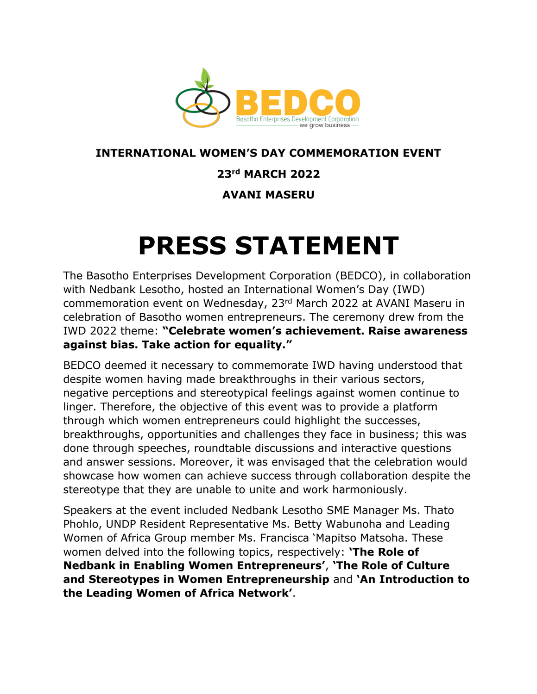

## **INTERNATIONAL WOMEN'S DAY COMMEMORATION EVENT**

## **23rd MARCH 2022**

**AVANI MASERU**

## **PRESS STATEMENT**

The Basotho Enterprises Development Corporation (BEDCO), in collaboration with Nedbank Lesotho, hosted an International Women's Day (IWD) commemoration event on Wednesday, 23rd March 2022 at AVANI Maseru in celebration of Basotho women entrepreneurs. The ceremony drew from the IWD 2022 theme: **"Celebrate women's achievement. Raise awareness against bias. Take action for equality."**

BEDCO deemed it necessary to commemorate IWD having understood that despite women having made breakthroughs in their various sectors, negative perceptions and stereotypical feelings against women continue to linger. Therefore, the objective of this event was to provide a platform through which women entrepreneurs could highlight the successes, breakthroughs, opportunities and challenges they face in business; this was done through speeches, roundtable discussions and interactive questions and answer sessions. Moreover, it was envisaged that the celebration would showcase how women can achieve success through collaboration despite the stereotype that they are unable to unite and work harmoniously.

Speakers at the event included Nedbank Lesotho SME Manager Ms. Thato Phohlo, UNDP Resident Representative Ms. Betty Wabunoha and Leading Women of Africa Group member Ms. Francisca 'Mapitso Matsoha. These women delved into the following topics, respectively: **'The Role of Nedbank in Enabling Women Entrepreneurs'**, **'The Role of Culture and Stereotypes in Women Entrepreneurship** and **'An Introduction to the Leading Women of Africa Network'**.